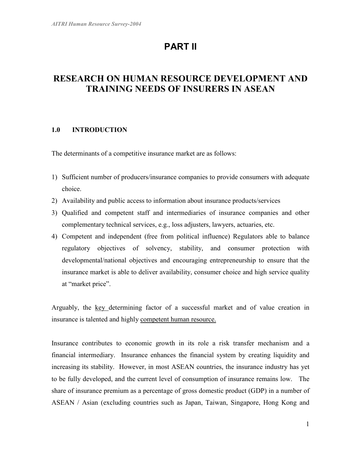# PART II

# RESEARCH ON HUMAN RESOURCE DEVELOPMENT AND TRAINING NEEDS OF INSURERS IN ASEAN

# 1.0 INTRODUCTION

The determinants of a competitive insurance market are as follows:

- 1) Sufficient number of producers/insurance companies to provide consumers with adequate choice.
- 2) Availability and public access to information about insurance products/services
- 3) Qualified and competent staff and intermediaries of insurance companies and other complementary technical services, e.g., loss adjusters, lawyers, actuaries, etc.
- 4) Competent and independent (free from political influence) Regulators able to balance regulatory objectives of solvency, stability, and consumer protection with developmental/national objectives and encouraging entrepreneurship to ensure that the insurance market is able to deliver availability, consumer choice and high service quality at "market price".

Arguably, the key determining factor of a successful market and of value creation in insurance is talented and highly competent human resource.

Insurance contributes to economic growth in its role a risk transfer mechanism and a financial intermediary. Insurance enhances the financial system by creating liquidity and increasing its stability. However, in most ASEAN countries, the insurance industry has yet to be fully developed, and the current level of consumption of insurance remains low. The share of insurance premium as a percentage of gross domestic product (GDP) in a number of ASEAN / Asian (excluding countries such as Japan, Taiwan, Singapore, Hong Kong and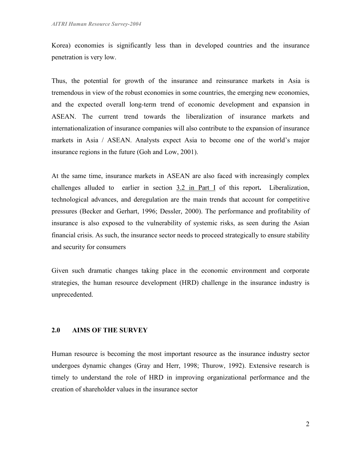Korea) economies is significantly less than in developed countries and the insurance penetration is very low.

Thus, the potential for growth of the insurance and reinsurance markets in Asia is tremendous in view of the robust economies in some countries, the emerging new economies, and the expected overall long-term trend of economic development and expansion in ASEAN. The current trend towards the liberalization of insurance markets and internationalization of insurance companies will also contribute to the expansion of insurance markets in Asia / ASEAN. Analysts expect Asia to become one of the world's major insurance regions in the future (Goh and Low, 2001).

At the same time, insurance markets in ASEAN are also faced with increasingly complex challenges alluded to earlier in section 3.2 in Part I of this report. Liberalization, technological advances, and deregulation are the main trends that account for competitive pressures (Becker and Gerhart, 1996; Dessler, 2000). The performance and profitability of insurance is also exposed to the vulnerability of systemic risks, as seen during the Asian financial crisis. As such, the insurance sector needs to proceed strategically to ensure stability and security for consumers

Given such dramatic changes taking place in the economic environment and corporate strategies, the human resource development (HRD) challenge in the insurance industry is unprecedented.

#### 2.0 AIMS OF THE SURVEY

Human resource is becoming the most important resource as the insurance industry sector undergoes dynamic changes (Gray and Herr, 1998; Thurow, 1992). Extensive research is timely to understand the role of HRD in improving organizational performance and the creation of shareholder values in the insurance sector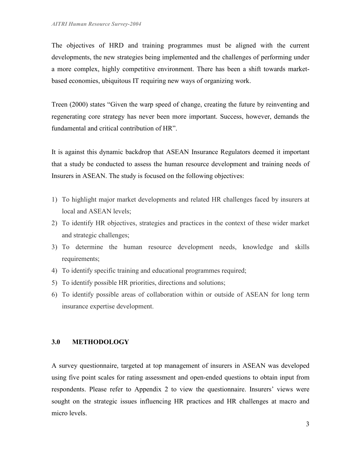The objectives of HRD and training programmes must be aligned with the current developments, the new strategies being implemented and the challenges of performing under a more complex, highly competitive environment. There has been a shift towards marketbased economies, ubiquitous IT requiring new ways of organizing work.

Treen (2000) states "Given the warp speed of change, creating the future by reinventing and regenerating core strategy has never been more important. Success, however, demands the fundamental and critical contribution of HR".

It is against this dynamic backdrop that ASEAN Insurance Regulators deemed it important that a study be conducted to assess the human resource development and training needs of Insurers in ASEAN. The study is focused on the following objectives:

- 1) To highlight major market developments and related HR challenges faced by insurers at local and ASEAN levels;
- 2) To identify HR objectives, strategies and practices in the context of these wider market and strategic challenges;
- 3) To determine the human resource development needs, knowledge and skills requirements;
- 4) To identify specific training and educational programmes required;
- 5) To identify possible HR priorities, directions and solutions;
- 6) To identify possible areas of collaboration within or outside of ASEAN for long term insurance expertise development.

# 3.0 METHODOLOGY

A survey questionnaire, targeted at top management of insurers in ASEAN was developed using five point scales for rating assessment and open-ended questions to obtain input from respondents. Please refer to Appendix 2 to view the questionnaire. Insurers' views were sought on the strategic issues influencing HR practices and HR challenges at macro and micro levels.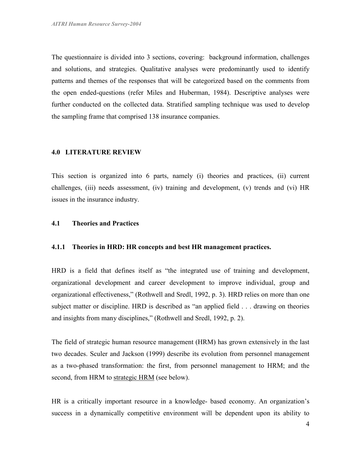The questionnaire is divided into 3 sections, covering: background information, challenges and solutions, and strategies. Qualitative analyses were predominantly used to identify patterns and themes of the responses that will be categorized based on the comments from the open ended-questions (refer Miles and Huberman, 1984). Descriptive analyses were further conducted on the collected data. Stratified sampling technique was used to develop the sampling frame that comprised 138 insurance companies.

#### 4.0 LITERATURE REVIEW

This section is organized into 6 parts, namely (i) theories and practices, (ii) current challenges, (iii) needs assessment, (iv) training and development, (v) trends and (vi) HR issues in the insurance industry.

#### 4.1 Theories and Practices

#### 4.1.1 Theories in HRD: HR concepts and best HR management practices.

HRD is a field that defines itself as "the integrated use of training and development, organizational development and career development to improve individual, group and organizational effectiveness," (Rothwell and Sredl, 1992, p. 3). HRD relies on more than one subject matter or discipline. HRD is described as "an applied field . . . drawing on theories and insights from many disciplines," (Rothwell and Sredl, 1992, p. 2).

The field of strategic human resource management (HRM) has grown extensively in the last two decades. Sculer and Jackson (1999) describe its evolution from personnel management as a two-phased transformation: the first, from personnel management to HRM; and the second, from HRM to strategic HRM (see below).

HR is a critically important resource in a knowledge- based economy. An organization's success in a dynamically competitive environment will be dependent upon its ability to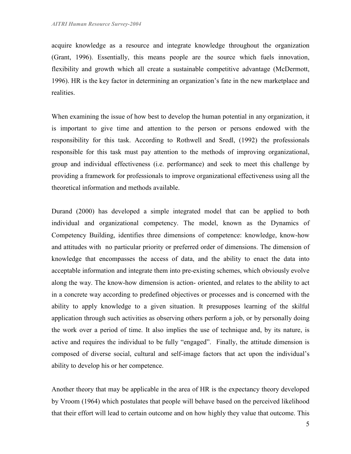acquire knowledge as a resource and integrate knowledge throughout the organization (Grant, 1996). Essentially, this means people are the source which fuels innovation, flexibility and growth which all create a sustainable competitive advantage (McDermott, 1996). HR is the key factor in determining an organization's fate in the new marketplace and realities.

When examining the issue of how best to develop the human potential in any organization, it is important to give time and attention to the person or persons endowed with the responsibility for this task. According to Rothwell and Sredl, (1992) the professionals responsible for this task must pay attention to the methods of improving organizational, group and individual effectiveness (i.e. performance) and seek to meet this challenge by providing a framework for professionals to improve organizational effectiveness using all the theoretical information and methods available.

Durand (2000) has developed a simple integrated model that can be applied to both individual and organizational competency. The model, known as the Dynamics of Competency Building, identifies three dimensions of competence: knowledge, know-how and attitudes with no particular priority or preferred order of dimensions. The dimension of knowledge that encompasses the access of data, and the ability to enact the data into acceptable information and integrate them into pre-existing schemes, which obviously evolve along the way. The know-how dimension is action- oriented, and relates to the ability to act in a concrete way according to predefined objectives or processes and is concerned with the ability to apply knowledge to a given situation. It presupposes learning of the skilful application through such activities as observing others perform a job, or by personally doing the work over a period of time. It also implies the use of technique and, by its nature, is active and requires the individual to be fully "engaged". Finally, the attitude dimension is composed of diverse social, cultural and self-image factors that act upon the individual's ability to develop his or her competence.

Another theory that may be applicable in the area of HR is the expectancy theory developed by Vroom (1964) which postulates that people will behave based on the perceived likelihood that their effort will lead to certain outcome and on how highly they value that outcome. This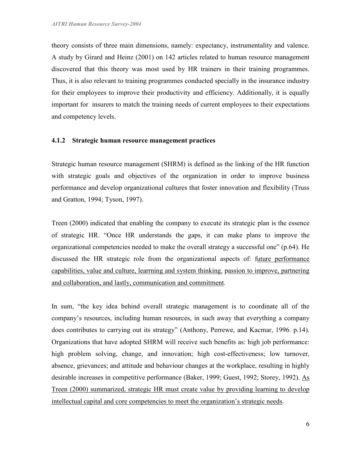theory consists of three main dimensions, namely: expectancy, instrumentality and valence. A study by Girard and Heinz (2001) on 142 articles related to human resource management discovered that this theory was most used by HR trainers in their training programmes. Thus, it is also relevant to training programmes conducted specially in the insurance industry for their employees to improve their productivity and efficiency. Additionally, it is equally important for insurers to match the training needs of current employees to their expectations and competency levels.

#### 4.1.2 Strategic human resource management practices

Strategic human resource management (SHRM) is defined as the linking of the HR function with strategic goals and objectives of the organization in order to improve business performance and develop organizational cultures that foster innovation and flexibility (Truss and Gratton, 1994; Tyson, 1997).

Treen (2000) indicated that enabling the company to execute its strategic plan is the essence of strategic HR. "Once HR understands the gaps, it can make plans to improve the organizational competencies needed to make the overall strategy a successful one" (p.64). He discussed the HR strategic role from the organizational aspects of: future performance capabilities, value and culture, learrning and system thinking. passion to improve, partnering and collaboration, and lastly, communication and commitment.

In sum, "the key idea behind overall strategic management is to coordinate all of the company's resources, including human resources, in such away that everything a company does contributes to carrying out its strategy" (Anthony, Perrewe, and Kacmar, 1996. p.14). Organizations that have adopted SHRM will receive such benefits as: high job performance: high problem solving, change, and innovation; high cost-effectiveness; low turnover, absence, grievances; and attitude and behaviour changes at the workplace, resulting in highly desirable increases in competitive performance (Baker, 1999; Guest, 1992; Storey, 1992). As Treen (2000) summarized, strategic HR must create value by providing learning to develop intellectual capital and core competencies to meet the organization's strategic needs.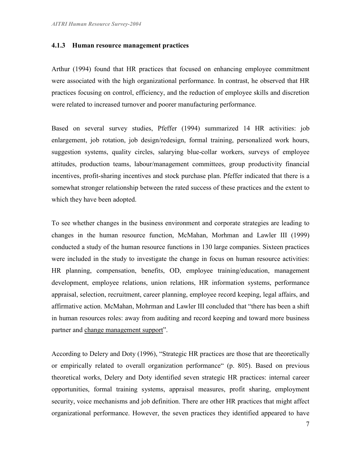#### 4.1.3 Human resource management practices

Arthur (1994) found that HR practices that focused on enhancing employee commitment were associated with the high organizational performance. In contrast, he observed that HR practices focusing on control, efficiency, and the reduction of employee skills and discretion were related to increased turnover and poorer manufacturing performance.

Based on several survey studies, Pfeffer (1994) summarized 14 HR activities: job enlargement, job rotation, job design/redesign, formal training, personalized work hours, suggestion systems, quality circles, salarying blue-collar workers, surveys of employee attitudes, production teams, labour/management committees, group productivity financial incentives, profit-sharing incentives and stock purchase plan. Pfeffer indicated that there is a somewhat stronger relationship between the rated success of these practices and the extent to which they have been adopted.

To see whether changes in the business environment and corporate strategies are leading to changes in the human resource function, McMahan, Morhman and Lawler III (1999) conducted a study of the human resource functions in 130 large companies. Sixteen practices were included in the study to investigate the change in focus on human resource activities: HR planning, compensation, benefits, OD, employee training/education, management development, employee relations, union relations, HR information systems, performance appraisal, selection, recruitment, career planning, employee record keeping, legal affairs, and affirmative action. McMahan, Mohrman and Lawler III concluded that "there has been a shift in human resources roles: away from auditing and record keeping and toward more business partner and change management support".

According to Delery and Doty (1996), "Strategic HR practices are those that are theoretically or empirically related to overall organization performance" (p. 805). Based on previous theoretical works, Delery and Doty identified seven strategic HR practices: internal career opportunities, formal training systems, appraisal measures, profit sharing, employment security, voice mechanisms and job definition. There are other HR practices that might affect organizational performance. However, the seven practices they identified appeared to have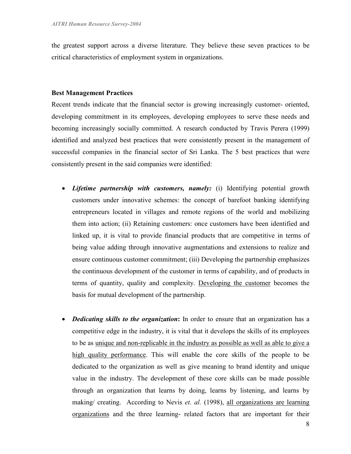the greatest support across a diverse literature. They believe these seven practices to be critical characteristics of employment system in organizations.

#### Best Management Practices

Recent trends indicate that the financial sector is growing increasingly customer- oriented, developing commitment in its employees, developing employees to serve these needs and becoming increasingly socially committed. A research conducted by Travis Perera (1999) identified and analyzed best practices that were consistently present in the management of successful companies in the financial sector of Sri Lanka. The 5 best practices that were consistently present in the said companies were identified:

- Lifetime partnership with customers, namely: (i) Identifying potential growth customers under innovative schemes: the concept of barefoot banking identifying entrepreneurs located in villages and remote regions of the world and mobilizing them into action; (ii) Retaining customers: once customers have been identified and linked up, it is vital to provide financial products that are competitive in terms of being value adding through innovative augmentations and extensions to realize and ensure continuous customer commitment; (iii) Developing the partnership emphasizes the continuous development of the customer in terms of capability, and of products in terms of quantity, quality and complexity. Developing the customer becomes the basis for mutual development of the partnership.
- Dedicating skills to the organization: In order to ensure that an organization has a competitive edge in the industry, it is vital that it develops the skills of its employees to be as unique and non-replicable in the industry as possible as well as able to give a high quality performance. This will enable the core skills of the people to be dedicated to the organization as well as give meaning to brand identity and unique value in the industry. The development of these core skills can be made possible through an organization that learns by doing, learns by listening, and learns by making/ creating. According to Nevis *et. al.* (1998), all organizations are learning organizations and the three learning- related factors that are important for their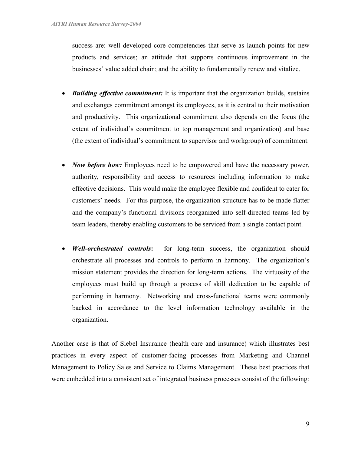success are: well developed core competencies that serve as launch points for new products and services; an attitude that supports continuous improvement in the businesses' value added chain; and the ability to fundamentally renew and vitalize.

- Building *effective commitment*: It is important that the organization builds, sustains and exchanges commitment amongst its employees, as it is central to their motivation and productivity. This organizational commitment also depends on the focus (the extent of individual's commitment to top management and organization) and base (the extent of individual's commitment to supervisor and workgroup) of commitment.
- *Now before how:* Employees need to be empowered and have the necessary power, authority, responsibility and access to resources including information to make effective decisions. This would make the employee flexible and confident to cater for customers' needs. For this purpose, the organization structure has to be made flatter and the company's functional divisions reorganized into self-directed teams led by team leaders, thereby enabling customers to be serviced from a single contact point.
- Well-orchestrated controls: for long-term success, the organization should orchestrate all processes and controls to perform in harmony. The organization's mission statement provides the direction for long-term actions. The virtuosity of the employees must build up through a process of skill dedication to be capable of performing in harmony. Networking and cross-functional teams were commonly backed in accordance to the level information technology available in the organization.

Another case is that of Siebel Insurance (health care and insurance) which illustrates best practices in every aspect of customer-facing processes from Marketing and Channel Management to Policy Sales and Service to Claims Management. These best practices that were embedded into a consistent set of integrated business processes consist of the following: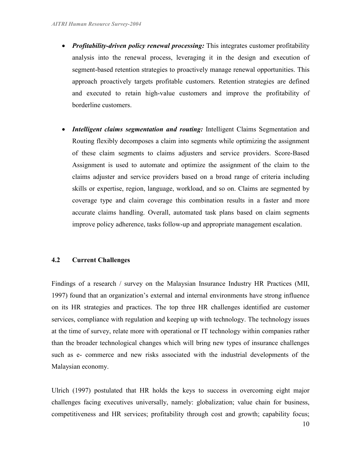- Profitability-driven policy renewal processing: This integrates customer profitability analysis into the renewal process, leveraging it in the design and execution of segment-based retention strategies to proactively manage renewal opportunities. This approach proactively targets profitable customers. Retention strategies are defined and executed to retain high-value customers and improve the profitability of borderline customers.
- Intelligent claims segmentation and routing: Intelligent Claims Segmentation and Routing flexibly decomposes a claim into segments while optimizing the assignment of these claim segments to claims adjusters and service providers. Score-Based Assignment is used to automate and optimize the assignment of the claim to the claims adjuster and service providers based on a broad range of criteria including skills or expertise, region, language, workload, and so on. Claims are segmented by coverage type and claim coverage this combination results in a faster and more accurate claims handling. Overall, automated task plans based on claim segments improve policy adherence, tasks follow-up and appropriate management escalation.

## 4.2 Current Challenges

Findings of a research / survey on the Malaysian Insurance Industry HR Practices (MII, 1997) found that an organization's external and internal environments have strong influence on its HR strategies and practices. The top three HR challenges identified are customer services, compliance with regulation and keeping up with technology. The technology issues at the time of survey, relate more with operational or IT technology within companies rather than the broader technological changes which will bring new types of insurance challenges such as e- commerce and new risks associated with the industrial developments of the Malaysian economy.

Ulrich (1997) postulated that HR holds the keys to success in overcoming eight major challenges facing executives universally, namely: globalization; value chain for business, competitiveness and HR services; profitability through cost and growth; capability focus;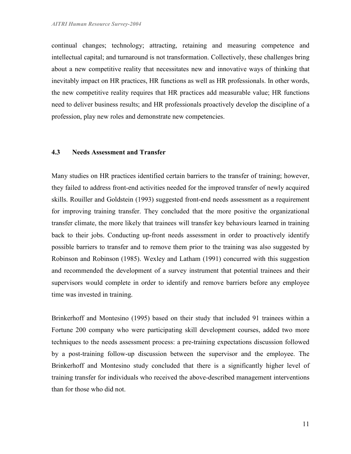continual changes; technology; attracting, retaining and measuring competence and intellectual capital; and turnaround is not transformation. Collectively, these challenges bring about a new competitive reality that necessitates new and innovative ways of thinking that inevitably impact on HR practices, HR functions as well as HR professionals. In other words, the new competitive reality requires that HR practices add measurable value; HR functions need to deliver business results; and HR professionals proactively develop the discipline of a profession, play new roles and demonstrate new competencies.

#### 4.3 Needs Assessment and Transfer

Many studies on HR practices identified certain barriers to the transfer of training; however, they failed to address front-end activities needed for the improved transfer of newly acquired skills. Rouiller and Goldstein (1993) suggested front-end needs assessment as a requirement for improving training transfer. They concluded that the more positive the organizational transfer climate, the more likely that trainees will transfer key behaviours learned in training back to their jobs. Conducting up-front needs assessment in order to proactively identify possible barriers to transfer and to remove them prior to the training was also suggested by Robinson and Robinson (1985). Wexley and Latham (1991) concurred with this suggestion and recommended the development of a survey instrument that potential trainees and their supervisors would complete in order to identify and remove barriers before any employee time was invested in training.

Brinkerhoff and Montesino (1995) based on their study that included 91 trainees within a Fortune 200 company who were participating skill development courses, added two more techniques to the needs assessment process: a pre-training expectations discussion followed by a post-training follow-up discussion between the supervisor and the employee. The Brinkerhoff and Montesino study concluded that there is a significantly higher level of training transfer for individuals who received the above-described management interventions than for those who did not.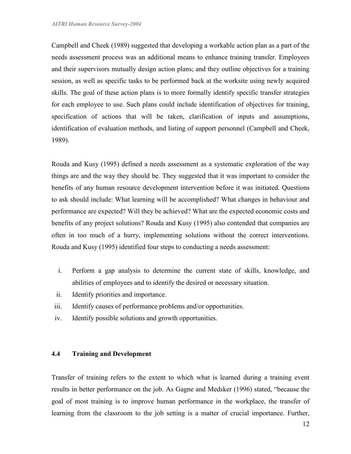Campbell and Cheek (1989) suggested that developing a workable action plan as a part of the needs assessment process was an additional means to enhance training transfer. Employees and their supervisors mutually design action plans; and they outline objectives for a training session, as well as specific tasks to be performed back at the worksite using newly acquired skills. The goal of these action plans is to more formally identify specific transfer strategies for each employee to use. Such plans could include identification of objectives for training, specification of actions that will be taken, clarification of inputs and assumptions, identification of evaluation methods, and listing of support personnel (Campbell and Cheek, 1989).

Rouda and Kusy (1995) defined a needs assessment as a systematic exploration of the way things are and the way they should be. They suggested that it was important to consider the benefits of any human resource development intervention before it was initiated. Questions to ask should include: What learning will be accomplished? What changes in behaviour and performance are expected? Will they be achieved? What are the expected economic costs and benefits of any project solutions? Rouda and Kusy (1995) also contended that companies are often in too much of a hurry, implementing solutions without the correct interventions. Rouda and Kusy (1995) identified four steps to conducting a needs assessment:

- i. Perform a gap analysis to determine the current state of skills, knowledge, and abilities of employees and to identify the desired or necessary situation.
- ii. Identify priorities and importance.
- iii. Identify causes of performance problems and/or opportunities.
- iv. Identify possible solutions and growth opportunities.

# 4.4 Training and Development

Transfer of training refers to the extent to which what is learned during a training event results in better performance on the job. As Gagne and Medsker (1996) stated, "because the goal of most training is to improve human performance in the workplace, the transfer of learning from the classroom to the job setting is a matter of crucial importance. Further,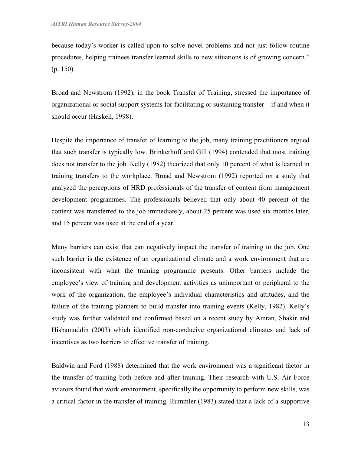because today's worker is called upon to solve novel problems and not just follow routine procedures, helping trainees transfer learned skills to new situations is of growing concern." (p. 150)

Broad and Newstrom (1992), in the book Transfer of Training, stressed the importance of organizational or social support systems for facilitating or sustaining transfer – if and when it should occur (Haskell, 1998).

Despite the importance of transfer of learning to the job, many training practitioners argued that such transfer is typically low. Brinkerhoff and Gill (1994) contended that most training does not transfer to the job. Kelly (1982) theorized that only 10 percent of what is learned in training transfers to the workplace. Broad and Newstrom (1992) reported on a study that analyzed the perceptions of HRD professionals of the transfer of content from management development programmes. The professionals believed that only about 40 percent of the content was transferred to the job immediately, about 25 percent was used six months later, and 15 percent was used at the end of a year.

Many barriers can exist that can negatively impact the transfer of training to the job. One such barrier is the existence of an organizational climate and a work environment that are inconsistent with what the training programme presents. Other barriers include the employee's view of training and development activities as unimportant or peripheral to the work of the organization; the employee's individual characteristics and attitudes, and the failure of the training planners to build transfer into training events (Kelly, 1982). Kelly's study was further validated and confirmed based on a recent study by Amran, Shakir and Hishamuddin (2003) which identified non-conducive organizational climates and lack of incentives as two barriers to effective transfer of training.

Baldwin and Ford (1988) determined that the work environment was a significant factor in the transfer of training both before and after training. Their research with U.S. Air Force aviators found that work environment, specifically the opportunity to perform new skills, was a critical factor in the transfer of training. Rummler (1983) stated that a lack of a supportive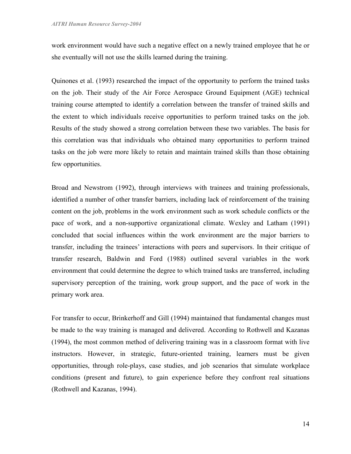work environment would have such a negative effect on a newly trained employee that he or she eventually will not use the skills learned during the training.

Quinones et al. (1993) researched the impact of the opportunity to perform the trained tasks on the job. Their study of the Air Force Aerospace Ground Equipment (AGE) technical training course attempted to identify a correlation between the transfer of trained skills and the extent to which individuals receive opportunities to perform trained tasks on the job. Results of the study showed a strong correlation between these two variables. The basis for this correlation was that individuals who obtained many opportunities to perform trained tasks on the job were more likely to retain and maintain trained skills than those obtaining few opportunities.

Broad and Newstrom (1992), through interviews with trainees and training professionals, identified a number of other transfer barriers, including lack of reinforcement of the training content on the job, problems in the work environment such as work schedule conflicts or the pace of work, and a non-supportive organizational climate. Wexley and Latham (1991) concluded that social influences within the work environment are the major barriers to transfer, including the trainees' interactions with peers and supervisors. In their critique of transfer research, Baldwin and Ford (1988) outlined several variables in the work environment that could determine the degree to which trained tasks are transferred, including supervisory perception of the training, work group support, and the pace of work in the primary work area.

For transfer to occur, Brinkerhoff and Gill (1994) maintained that fundamental changes must be made to the way training is managed and delivered. According to Rothwell and Kazanas (1994), the most common method of delivering training was in a classroom format with live instructors. However, in strategic, future-oriented training, learners must be given opportunities, through role-plays, case studies, and job scenarios that simulate workplace conditions (present and future), to gain experience before they confront real situations (Rothwell and Kazanas, 1994).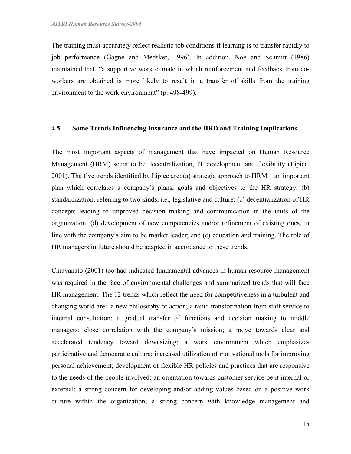The training must accurately reflect realistic job conditions if learning is to transfer rapidly to job performance (Gagne and Medsker, 1996). In addition, Noe and Schmitt (1986) maintained that, "a supportive work climate in which reinforcement and feedback from coworkers are obtained is more likely to result in a transfer of skills from the training environment to the work environment" (p. 498-499).

#### 4.5 Some Trends Influencing Insurance and the HRD and Training Implications

The most important aspects of management that have impacted on Human Resource Management (HRM) seem to be decentralization, IT development and flexibility (Lipiec, 2001). The five trends identified by Lipiec are: (a) strategic approach to HRM – an important plan which correlates a company's plans, goals and objectives to the HR strategy; (b) standardization, referring to two kinds, i.e., legislative and culture; (c) decentralization of HR concepts leading to improved decision making and communication in the units of the organization; (d) development of new competencies and/or refinement of existing ones, in line with the company's aim to be market leader; and (e) education and training. The role of HR managers in future should be adapted in accordance to these trends.

Chiavanato (2001) too had indicated fundamental advances in human resource management was required in the face of environmental challenges and summarized trends that will face HR management. The 12 trends which reflect the need for competitiveness in a turbulent and changing world are: a new philosophy of action; a rapid transformation from staff service to internal consultation; a gradual transfer of functions and decision making to middle managers; close correlation with the company's mission; a move towards clear and accelerated tendency toward downsizing; a work environment which emphasizes participative and democratic culture; increased utilization of motivational tools for improving personal achievement; development of flexible HR policies and practices that are responsive to the needs of the people involved; an orientation towards customer service be it internal or external; a strong concern for developing and/or adding values based on a positive work culture within the organization; a strong concern with knowledge management and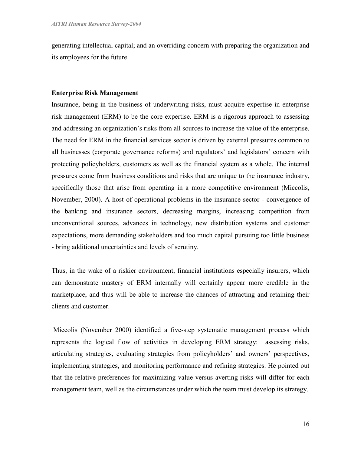generating intellectual capital; and an overriding concern with preparing the organization and its employees for the future.

#### Enterprise Risk Management

Insurance, being in the business of underwriting risks, must acquire expertise in enterprise risk management (ERM) to be the core expertise. ERM is a rigorous approach to assessing and addressing an organization's risks from all sources to increase the value of the enterprise. The need for ERM in the financial services sector is driven by external pressures common to all businesses (corporate governance reforms) and regulators' and legislators' concern with protecting policyholders, customers as well as the financial system as a whole. The internal pressures come from business conditions and risks that are unique to the insurance industry, specifically those that arise from operating in a more competitive environment (Miccolis, November, 2000). A host of operational problems in the insurance sector - convergence of the banking and insurance sectors, decreasing margins, increasing competition from unconventional sources, advances in technology, new distribution systems and customer expectations, more demanding stakeholders and too much capital pursuing too little business - bring additional uncertainties and levels of scrutiny.

Thus, in the wake of a riskier environment, financial institutions especially insurers, which can demonstrate mastery of ERM internally will certainly appear more credible in the marketplace, and thus will be able to increase the chances of attracting and retaining their clients and customer.

 Miccolis (November 2000) identified a five-step systematic management process which represents the logical flow of activities in developing ERM strategy: assessing risks, articulating strategies, evaluating strategies from policyholders' and owners' perspectives, implementing strategies, and monitoring performance and refining strategies. He pointed out that the relative preferences for maximizing value versus averting risks will differ for each management team, well as the circumstances under which the team must develop its strategy.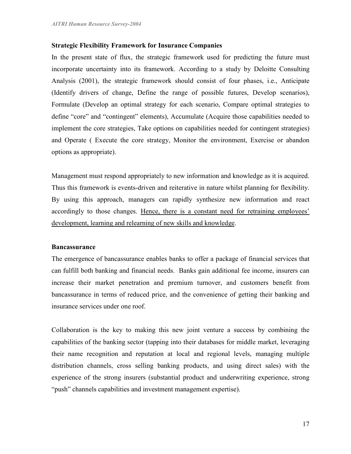#### Strategic Flexibility Framework for Insurance Companies

In the present state of flux, the strategic framework used for predicting the future must incorporate uncertainty into its framework. According to a study by Deloitte Consulting Analysis (2001), the strategic framework should consist of four phases, i.e., Anticipate (Identify drivers of change, Define the range of possible futures, Develop scenarios), Formulate (Develop an optimal strategy for each scenario, Compare optimal strategies to define "core" and "contingent" elements), Accumulate (Acquire those capabilities needed to implement the core strategies, Take options on capabilities needed for contingent strategies) and Operate ( Execute the core strategy, Monitor the environment, Exercise or abandon options as appropriate).

Management must respond appropriately to new information and knowledge as it is acquired. Thus this framework is events-driven and reiterative in nature whilst planning for flexibility. By using this approach, managers can rapidly synthesize new information and react accordingly to those changes. Hence, there is a constant need for retraining employees' development, learning and relearning of new skills and knowledge.

#### **Bancassurance**

The emergence of bancassurance enables banks to offer a package of financial services that can fulfill both banking and financial needs. Banks gain additional fee income, insurers can increase their market penetration and premium turnover, and customers benefit from bancassurance in terms of reduced price, and the convenience of getting their banking and insurance services under one roof.

Collaboration is the key to making this new joint venture a success by combining the capabilities of the banking sector (tapping into their databases for middle market, leveraging their name recognition and reputation at local and regional levels, managing multiple distribution channels, cross selling banking products, and using direct sales) with the experience of the strong insurers (substantial product and underwriting experience, strong "push" channels capabilities and investment management expertise).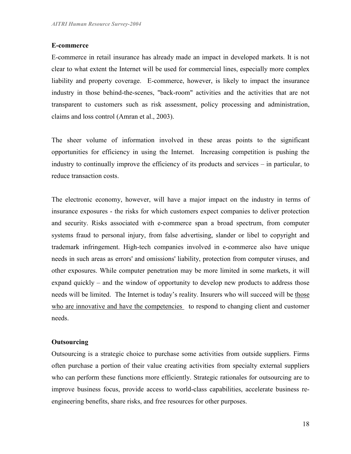#### E-commerce

E-commerce in retail insurance has already made an impact in developed markets. It is not clear to what extent the Internet will be used for commercial lines, especially more complex liability and property coverage. E-commerce, however, is likely to impact the insurance industry in those behind-the-scenes, "back-room" activities and the activities that are not transparent to customers such as risk assessment, policy processing and administration, claims and loss control (Amran et al., 2003).

The sheer volume of information involved in these areas points to the significant opportunities for efficiency in using the Internet. Increasing competition is pushing the industry to continually improve the efficiency of its products and services – in particular, to reduce transaction costs.

The electronic economy, however, will have a major impact on the industry in terms of insurance exposures - the risks for which customers expect companies to deliver protection and security. Risks associated with e-commerce span a broad spectrum, from computer systems fraud to personal injury, from false advertising, slander or libel to copyright and trademark infringement. High-tech companies involved in e-commerce also have unique needs in such areas as errors' and omissions' liability, protection from computer viruses, and other exposures. While computer penetration may be more limited in some markets, it will expand quickly – and the window of opportunity to develop new products to address those needs will be limited. The Internet is today's reality. Insurers who will succeed will be those who are innovative and have the competencies to respond to changing client and customer needs.

## **Outsourcing**

Outsourcing is a strategic choice to purchase some activities from outside suppliers. Firms often purchase a portion of their value creating activities from specialty external suppliers who can perform these functions more efficiently. Strategic rationales for outsourcing are to improve business focus, provide access to world-class capabilities, accelerate business reengineering benefits, share risks, and free resources for other purposes.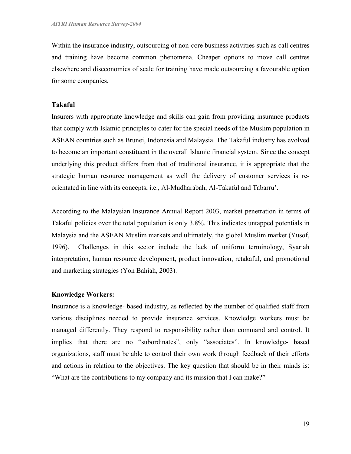Within the insurance industry, outsourcing of non-core business activities such as call centres and training have become common phenomena. Cheaper options to move call centres elsewhere and diseconomies of scale for training have made outsourcing a favourable option for some companies.

## Takaful

Insurers with appropriate knowledge and skills can gain from providing insurance products that comply with Islamic principles to cater for the special needs of the Muslim population in ASEAN countries such as Brunei, Indonesia and Malaysia. The Takaful industry has evolved to become an important constituent in the overall Islamic financial system. Since the concept underlying this product differs from that of traditional insurance, it is appropriate that the strategic human resource management as well the delivery of customer services is reorientated in line with its concepts, i.e., Al-Mudharabah, Al-Takaful and Tabarru'.

According to the Malaysian Insurance Annual Report 2003, market penetration in terms of Takaful policies over the total population is only 3.8%. This indicates untapped potentials in Malaysia and the ASEAN Muslim markets and ultimately, the global Muslim market (Yusof, 1996). Challenges in this sector include the lack of uniform terminology, Syariah interpretation, human resource development, product innovation, retakaful, and promotional and marketing strategies (Yon Bahiah, 2003).

## Knowledge Workers:

Insurance is a knowledge- based industry, as reflected by the number of qualified staff from various disciplines needed to provide insurance services. Knowledge workers must be managed differently. They respond to responsibility rather than command and control. It implies that there are no "subordinates", only "associates". In knowledge- based organizations, staff must be able to control their own work through feedback of their efforts and actions in relation to the objectives. The key question that should be in their minds is: "What are the contributions to my company and its mission that I can make?"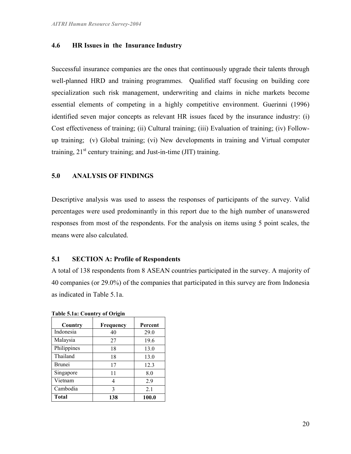# 4.6 HR Issues in the Insurance Industry

Successful insurance companies are the ones that continuously upgrade their talents through well-planned HRD and training programmes. Qualified staff focusing on building core specialization such risk management, underwriting and claims in niche markets become essential elements of competing in a highly competitive environment. Guerinni (1996) identified seven major concepts as relevant HR issues faced by the insurance industry: (i) Cost effectiveness of training; (ii) Cultural training; (iii) Evaluation of training; (iv) Followup training; (v) Global training; (vi) New developments in training and Virtual computer training,  $21<sup>st</sup>$  century training; and Just-in-time (JIT) training.

## 5.0 ANALYSIS OF FINDINGS

Descriptive analysis was used to assess the responses of participants of the survey. Valid percentages were used predominantly in this report due to the high number of unanswered responses from most of the respondents. For the analysis on items using 5 point scales, the means were also calculated.

#### 5.1 SECTION A: Profile of Respondents

A total of 138 respondents from 8 ASEAN countries participated in the survey. A majority of 40 companies (or 29.0%) of the companies that participated in this survey are from Indonesia as indicated in Table 5.1a.

| Country       | Frequency | Percent |
|---------------|-----------|---------|
| Indonesia     | 40        | 29.0    |
| Malaysia      | 27        | 19.6    |
| Philippines   | 18        | 13.0    |
| Thailand      | 18        | 13.0    |
| <b>Brunei</b> | 17        | 12.3    |
| Singapore     | 11        | 8.0     |
| Vietnam       | 4         | 2.9     |
| Cambodia      | 3         | 2.1     |
| Total         | 138       | 100.0   |

Table 5.1a: Country of Origin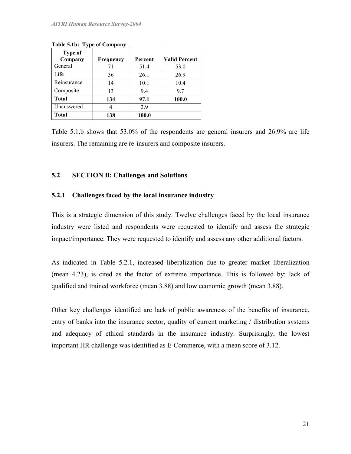| <b>Type of</b> |           |         |                      |
|----------------|-----------|---------|----------------------|
| Company        | Frequency | Percent | <b>Valid Percent</b> |
| General        | 71        | 51.4    | 53.0                 |
| Life           | 36        | 26.1    | 26.9                 |
| Reinsurance    | 14        | 10.1    | 10.4                 |
| Composite      | 13        | 9.4     | 9.7                  |
| <b>Total</b>   | 134       | 97.1    | 100.0                |
| Unanswered     |           | 29      |                      |
| Total          | 138       | 100.0   |                      |

Table 5.1b: Type of Company

Table 5.1.b shows that 53.0% of the respondents are general insurers and 26.9% are life insurers. The remaining are re-insurers and composite insurers.

# 5.2 SECTION B: Challenges and Solutions

# 5.2.1 Challenges faced by the local insurance industry

This is a strategic dimension of this study. Twelve challenges faced by the local insurance industry were listed and respondents were requested to identify and assess the strategic impact/importance. They were requested to identify and assess any other additional factors.

As indicated in Table 5.2.1, increased liberalization due to greater market liberalization (mean 4.23), is cited as the factor of extreme importance. This is followed by: lack of qualified and trained workforce (mean 3.88) and low economic growth (mean 3.88).

Other key challenges identified are lack of public awareness of the benefits of insurance, entry of banks into the insurance sector, quality of current marketing / distribution systems and adequacy of ethical standards in the insurance industry. Surprisingly, the lowest important HR challenge was identified as E-Commerce, with a mean score of 3.12.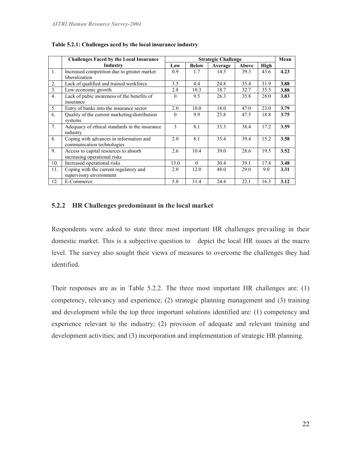|                | <b>Challenges Faced by the Local Insurance</b> | <b>Strategic Challenge</b> |              |         |       |      |      |
|----------------|------------------------------------------------|----------------------------|--------------|---------|-------|------|------|
|                | Industry                                       | Low                        | <b>Below</b> | Average | Above | High |      |
| -1.            | Increased competition due to greater market    | 0.9                        | 1.7          | 14.5    | 39.3  | 43.6 | 4.23 |
|                | liberalization                                 |                            |              |         |       |      |      |
| 2.             | Lack of qualified and trained workforce        | 3.5                        | 4.4          | 24.8    | 35.4  | 31.9 | 3.88 |
| 3 <sub>1</sub> | Low economic growth                            | 2.8                        | 10.3         | 18.7    | 32.7  | 35.5 | 3.88 |
| 4 <sub>1</sub> | Lack of pubic awareness of the benefits of     | $\Omega$                   | 9.5          | 26.3    | 35.8  | 28.0 | 3.83 |
|                | insurance                                      |                            |              |         |       |      |      |
| 5 <sub>1</sub> | Entry of banks into the insurance sector       | 2.0                        | 10.0         | 18.0    | 47.0  | 23.0 | 3.79 |
| 6.             | Quality of the current marketing/distribution  | $\Omega$                   | 9.9          | 23.8    | 47.5  | 18.8 | 3.75 |
|                | systems                                        |                            |              |         |       |      |      |
| 7.             | Adequacy of ethical standards in the insurance | 3                          | 8.1          | 33.3    | 38.4  | 17.2 | 3.59 |
|                | industry                                       |                            |              |         |       |      |      |
| 8.             | Coping with advances in information and        | 2.0                        | 8.1          | 35.4    | 39.4  | 15.2 | 3.58 |
|                | communication technologies                     |                            |              |         |       |      |      |
| 9.             | Access to capital resources to absorb          | 2.6                        | 10.4         | 39.0    | 28.6  | 19.5 | 3.52 |
|                | increasing operational risks                   |                            |              |         |       |      |      |
| 10.            | Increased operational risks                    | 13.0                       | $\Omega$     | 30.4    | 39.1  | 17.4 | 3.48 |
| 11.            | Coping with the current regulatory and         | 2.0                        | 12.0         | 48.0    | 29.0  | 9.0  | 3.31 |
|                | supervisory environment                        |                            |              |         |       |      |      |
| 12.            | E-Commerce                                     | 5.8                        | 31.4         | 24.4    | 22.1  | 16.3 | 3.12 |

Table 5.2.1: Challenges aced by the local insurance industry

## 5.2.2 HR Challenges predominant in the local market

Respondents were asked to state three most important HR challenges prevailing in their domestic market. This is a subjective question to depict the local HR issues at the macro level. The survey also sought their views of measures to overcome the challenges they had identified.

Their responses are as in Table 5.2.2. The three most important HR challenges are: (1) competency, relevancy and experience; (2) strategic planning management and (3) training and development while the top three important solutions identified are: (1) competency and experience relevant to the industry; (2) provision of adequate and relevant training and development activities; and (3) incorporation and implementation of strategic HR planning.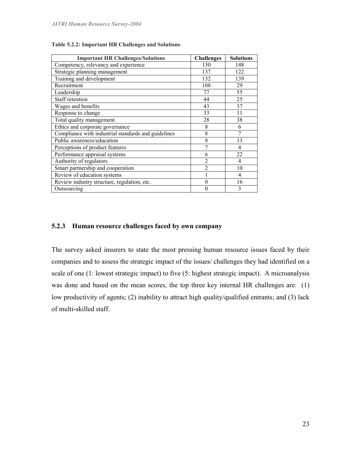| <b>Important HR Challenges/Solutions</b>            | <b>Challenges</b> | <b>Solutions</b> |
|-----------------------------------------------------|-------------------|------------------|
| Competency, relevancy and experience                | 150               | 148              |
| Strategic planning management                       | 137               | 122              |
| Training and development                            | 132               | 139              |
| Recruitment                                         | 108               | 29               |
| Leadership                                          | 77                | 55               |
| Staff retention                                     | 44                | 25               |
| Wages and benefits                                  | 43                | 37               |
| Response to change                                  | 33                | 11               |
| Total quality management                            | 28                | 38               |
| Ethics and corporate governance                     | 8                 | 6                |
| Compliance with industrial standards and guidelines | 8                 | 7                |
| Public awareness/education                          | 8                 | 13               |
| Perceptions of product features                     | 7                 | $\overline{4}$   |
| Performance appraisal systems                       | 6                 | 22               |
| Authority of regulators                             | $\overline{2}$    | $\overline{4}$   |
| Smart partnership and cooperation                   | $\overline{2}$    | 10               |
| Review of education systems                         |                   | $\overline{4}$   |
| Review industry structure, regulation, etc.         | 0                 | 16               |
| Outsourcing                                         | 0                 | 3                |

Table 5.2.2: Important HR Challenges and Solutions

## 5.2.3 Human resource challenges faced by own company

The survey asked insurers to state the most pressing human resource issues faced by their companies and to assess the strategic impact of the issues/ challenges they had identified on a scale of one (1: lowest strategic impact) to five (5: highest strategic impact). A microanalysis was done and based on the mean scores, the top three key internal HR challenges are: (1) low productivity of agents; (2) inability to attract high quality/qualified entrants; and (3) lack of multi-skilled staff.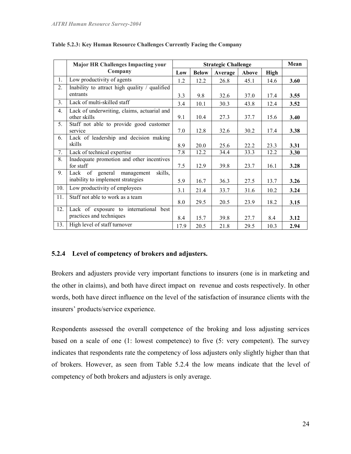|     | <b>Major HR Challenges Impacting your</b>                                  |      |              | <b>Strategic Challenge</b> |       |             | Mean |
|-----|----------------------------------------------------------------------------|------|--------------|----------------------------|-------|-------------|------|
|     | Company                                                                    | Low  | <b>Below</b> | Average                    | Above | <b>High</b> |      |
| 1.  | Low productivity of agents                                                 | 1.2  | 12.2         | 26.8                       | 45.1  | 14.6        | 3.60 |
| 2.  | Inability to attract high quality / qualified                              |      |              |                            |       |             |      |
|     | entrants                                                                   | 3.3  | 9.8          | 32.6                       | 37.0  | 17.4        | 3.55 |
| 3.  | Lack of multi-skilled staff                                                | 3.4  | 10.1         | 30.3                       | 43.8  | 12.4        | 3.52 |
| 4.  | Lack of underwriting, claims, actuarial and<br>other skills                | 9.1  | 10.4         | 27.3                       | 37.7  | 15.6        | 3.40 |
| 5.  | Staff not able to provide good customer<br>service                         | 7.0  | 12.8         | 32.6                       | 30.2  | 17.4        | 3.38 |
| 6.  | Lack of leadership and decision making<br>skills                           | 8.9  | 20.0         | 25.6                       | 22.2  | 23.3        | 3.31 |
| 7.  | Lack of technical expertise                                                | 7.8  | 12.2         | 34.4                       | 33.3  | 12.2        | 3.30 |
| 8.  | Inadequate promotion and other incentives<br>for staff                     | 7.5  | 12.9         | 39.8                       | 23.7  | 16.1        | 3.28 |
| 9.  | Lack of general management<br>skills,<br>inability to implement strategies | 5.9  | 16.7         | 36.3                       | 27.5  | 13.7        | 3.26 |
| 10. | Low productivity of employees                                              | 3.1  | 21.4         | 33.7                       | 31.6  | 10.2        | 3.24 |
| 11. | Staff not able to work as a team                                           | 8.0  | 29.5         | 20.5                       | 23.9  | 18.2        | 3.15 |
| 12. | Lack of exposure to international best<br>practices and techniques         | 8.4  | 15.7         | 39.8                       | 27.7  | 8.4         | 3.12 |
| 13. | High level of staff turnover                                               | 17.9 | 20.5         | 21.8                       | 29.5  | 10.3        | 2.94 |

#### Table 5.2.3: Key Human Resource Challenges Currently Facing the Company

# 5.2.4 Level of competency of brokers and adjusters.

Brokers and adjusters provide very important functions to insurers (one is in marketing and the other in claims), and both have direct impact on revenue and costs respectively. In other words, both have direct influence on the level of the satisfaction of insurance clients with the insurers' products/service experience.

Respondents assessed the overall competence of the broking and loss adjusting services based on a scale of one (1: lowest competence) to five (5: very competent). The survey indicates that respondents rate the competency of loss adjusters only slightly higher than that of brokers. However, as seen from Table 5.2.4 the low means indicate that the level of competency of both brokers and adjusters is only average.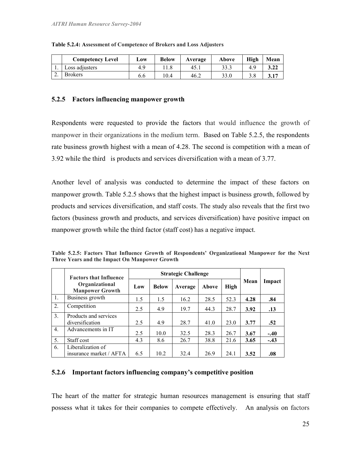|    | <b>Competency Level</b> | Low | <b>Below</b> | Average | Above | High | Mean |
|----|-------------------------|-----|--------------|---------|-------|------|------|
|    | Loss adjusters          | 49  |              | 45.1    | 33.3  | 4.9  | 3.22 |
| ۷, | <b>Brokers</b>          | 6.6 | 0.4          | 46.2    | 33.0  |      | 3.17 |

#### Table 5.2.4: Assessment of Competence of Brokers and Loss Adjusters

# 5.2.5 Factors influencing manpower growth

Respondents were requested to provide the factors that would influence the growth of manpower in their organizations in the medium term. Based on Table 5.2.5, the respondents rate business growth highest with a mean of 4.28. The second is competition with a mean of 3.92 while the third is products and services diversification with a mean of 3.77.

Another level of analysis was conducted to determine the impact of these factors on manpower growth. Table 5.2.5 shows that the highest impact is business growth, followed by products and services diversification, and staff costs. The study also reveals that the first two factors (business growth and products, and services diversification) have positive impact on manpower growth while the third factor (staff cost) has a negative impact.

|  |  |                                               |  | Table 5.2.5: Factors That Influence Growth of Respondents' Organizational Manpower for the Next |  |  |
|--|--|-----------------------------------------------|--|-------------------------------------------------------------------------------------------------|--|--|
|  |  | Three Years and the Impact On Manpower Growth |  |                                                                                                 |  |  |

|                  | <b>Factors that Influence</b>                |     | <b>Strategic Challenge</b> |         |       |      |      |        |
|------------------|----------------------------------------------|-----|----------------------------|---------|-------|------|------|--------|
|                  | Organizational<br><b>Manpower Growth</b>     | Low | <b>Below</b>               | Average | Above | High | Mean | Impact |
| 1.               | Business growth                              | 1.5 | 1.5                        | 16.2    | 28.5  | 52.3 | 4.28 | .84    |
| 2.               | Competition                                  | 2.5 | 4.9                        | 19.7    | 44.3  | 28.7 | 3.92 | .13    |
| 3.               | Products and services<br>diversification     | 2.5 | 4.9                        | 28.7    | 41.0  | 23.0 | 3.77 | .52    |
| $\overline{4}$ . | Advancements in IT                           | 2.5 | 10.0                       | 32.5    | 28.3  | 26.7 | 3.67 | $-.40$ |
| 5.               | Staff cost                                   | 4.3 | 8.6                        | 26.7    | 38.8  | 21.6 | 3.65 | $-.43$ |
| 6.               | Liberalization of<br>insurance market / AFTA | 6.5 | 10.2                       | 32.4    | 26.9  | 24.1 | 3.52 | .08    |

## 5.2.6 Important factors influencing company's competitive position

The heart of the matter for strategic human resources management is ensuring that staff possess what it takes for their companies to compete effectively. An analysis on factors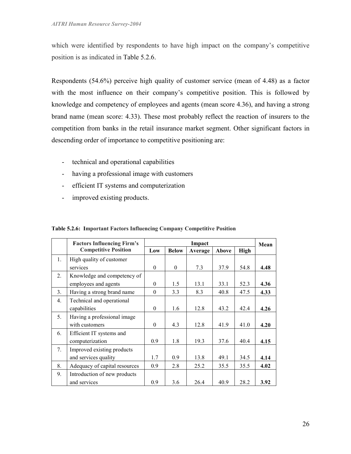which were identified by respondents to have high impact on the company's competitive position is as indicated in Table 5.2.6.

Respondents (54.6%) perceive high quality of customer service (mean of 4.48) as a factor with the most influence on their company's competitive position. This is followed by knowledge and competency of employees and agents (mean score 4.36), and having a strong brand name (mean score: 4.33). These most probably reflect the reaction of insurers to the competition from banks in the retail insurance market segment. Other significant factors in descending order of importance to competitive positioning are:

- technical and operational capabilities
- having a professional image with customers
- efficient IT systems and computerization
- improved existing products.

|                | <b>Factors Influencing Firm's</b> | Impact   |              |         |       |             | Mean |
|----------------|-----------------------------------|----------|--------------|---------|-------|-------------|------|
|                | <b>Competitive Position</b>       | Low      | <b>Below</b> | Average | Above | <b>High</b> |      |
| 1.             | High quality of customer          |          |              |         |       |             |      |
|                | services                          | $\theta$ | $\Omega$     | 7.3     | 37.9  | 54.8        | 4.48 |
| 2.             | Knowledge and competency of       |          |              |         |       |             |      |
|                | employees and agents              | $\theta$ | 1.5          | 13.1    | 33.1  | 52.3        | 4.36 |
| 3 <sub>1</sub> | Having a strong brand name        | $\theta$ | 3.3          | 8.3     | 40.8  | 47.5        | 4.33 |
| 4.             | Technical and operational         |          |              |         |       |             |      |
|                | capabilities                      | $\theta$ | 1.6          | 12.8    | 43.2  | 42.4        | 4.26 |
| 5.             | Having a professional image       |          |              |         |       |             |      |
|                | with customers                    | $\theta$ | 4.3          | 12.8    | 41.9  | 41.0        | 4.20 |
| 6.             | Efficient IT systems and          |          |              |         |       |             |      |
|                | computerization                   | 0.9      | 1.8          | 19.3    | 37.6  | 40.4        | 4.15 |
| 7.             | Improved existing products        |          |              |         |       |             |      |
|                | and services quality              | 1.7      | 0.9          | 13.8    | 49.1  | 34.5        | 4.14 |
| 8.             | Adequacy of capital resources     | 0.9      | 2.8          | 25.2    | 35.5  | 35.5        | 4.02 |
| 9.             | Introduction of new products      |          |              |         |       |             |      |
|                | and services                      | 0.9      | 3.6          | 26.4    | 40.9  | 28.2        | 3.92 |

Table 5.2.6: Important Factors Influencing Company Competitive Position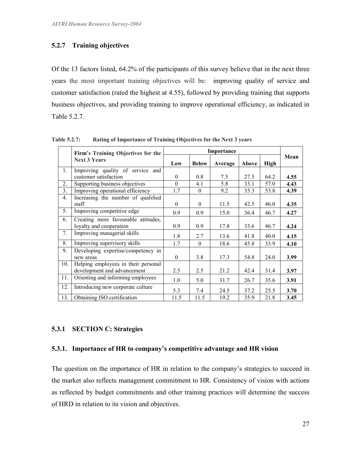# 5.2.7 Training objectives

Of the 13 factors listed, 64.2% of the participants of this survey believe that in the next three years the most important training objectives will be: improving quality of service and customer satisfaction (rated the highest at 4.55), followed by providing training that supports business objectives, and providing training to improve operational efficiency, as indicated in Table 5.2.7.

|                | Firm's Training Objectives for the  |              |              |         |       |             |      |
|----------------|-------------------------------------|--------------|--------------|---------|-------|-------------|------|
|                | <b>Next 3 Years</b>                 | Low          | <b>Below</b> | Average | Above | <b>High</b> | Mean |
| 1 <sub>1</sub> | Improving quality of service and    |              |              |         |       |             |      |
|                | customer satisfaction               | $\mathbf{0}$ | 0.8          | 7.5     | 27.5  | 64.2        | 4.55 |
| 2.             | Supporting business objectives      | $\theta$     | 4.1          | 5.8     | 33.1  | 57.0        | 4.43 |
| 3.             | Improving operational efficiency    | 1.7          | $\theta$     | 9.2     | 35.3  | 53.8        | 4.39 |
| 4.             | Increasing the number of qualified  |              |              |         |       |             |      |
|                | staff                               | $\theta$     | $\Omega$     | 11.5    | 42.5  | 46.0        | 4.35 |
| 5.             | Improving competitive edge          | 0.9          | 0.9          | 15.0    | 36.4  | 46.7        | 4.27 |
| 6.             | Creating more favourable attitudes, |              |              |         |       |             |      |
|                | loyalty and cooperation             | 0.9          | 0.9          | 17.8    | 33.6  | 46.7        | 4.24 |
| 7.             | Improving managerial skills         | 1.8          | 2.7          | 13.6    | 41.8  | 40.0        | 4.15 |
| 8.             | Improving supervisory skills        | 1.7          | $\theta$     | 18.6    | 45.8  | 33.9        | 4.10 |
| 9.             | Developing expertise/competency in  |              |              |         |       |             |      |
|                | new areas                           | $\mathbf{0}$ | 3.8          | 17.3    | 54.8  | 24.0        | 3.99 |
| 10.            | Helping employees in their personal |              |              |         |       |             |      |
|                | development and advancement         | 2.5          | 2.5          | 21.2    | 42.4  | 31.4        | 3.97 |
| 11.            | Orienting and informing employees   | 1.0          | 5.0          | 31.7    | 26.7  | 35.6        | 3.91 |
| 12.            | Introducing new corporate culture   | 5.3          | 7.4          | 24.5    | 37.2  | 25.5        | 3.70 |
| 13.            | Obtaining ISO certification         | 11.5         | 11.5         | 19.2    | 35.9  | 21.8        | 3.45 |

Table 5.2.7: Rating of Importance of Training Objectives for the Next 3 years

## 5.3.1 SECTION C: Strategies

#### 5.3.1. Importance of HR to company's competitive advantage and HR vision

The question on the importance of HR in relation to the company's strategies to succeed in the market also reflects management commitment to HR. Consistency of vision with actions as reflected by budget commitments and other training practices will determine the success of HRD in relation to its vision and objectives.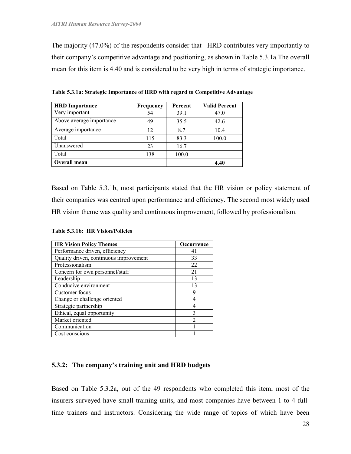The majority (47.0%) of the respondents consider that HRD contributes very importantly to their company's competitive advantage and positioning, as shown in Table 5.3.1a.The overall mean for this item is 4.40 and is considered to be very high in terms of strategic importance.

| <b>HRD</b> Importance    | <b>Frequency</b> | Percent | <b>Valid Percent</b> |
|--------------------------|------------------|---------|----------------------|
| Very important           | 54               | 39.1    | 47.0                 |
| Above average importance | 49               | 35.5    | 42.6                 |
| Average importance       | 12               | 8.7     | 10.4                 |
| Total                    | 115              | 83.3    | 100.0                |
| Unanswered               | 23               | 16.7    |                      |
| Total                    | 138              | 100.0   |                      |
| Overall mean             |                  |         | 4.40                 |

Table 5.3.1a: Strategic Importance of HRD with regard to Competitive Advantage

Based on Table 5.3.1b, most participants stated that the HR vision or policy statement of their companies was centred upon performance and efficiency. The second most widely used HR vision theme was quality and continuous improvement, followed by professionalism.

Table 5.3.1b: HR Vision/Policies

| <b>HR Vision Policy Themes</b>         | Occurrence |
|----------------------------------------|------------|
| Performance driven, efficiency         | 41         |
| Quality driven, continuous improvement | 33         |
| Professionalism                        | 22         |
| Concern for own personnel/staff        | 21         |
| Leadership                             | 13         |
| Conducive environment                  | 13         |
| Customer focus                         | q          |
| Change or challenge oriented           |            |
| Strategic partnership                  |            |
| Ethical, equal opportunity             | 3          |
| Market oriented                        | າ          |
| Communication                          |            |
| Cost conscious                         |            |

# 5.3.2: The company's training unit and HRD budgets

Based on Table 5.3.2a, out of the 49 respondents who completed this item, most of the insurers surveyed have small training units, and most companies have between 1 to 4 fulltime trainers and instructors. Considering the wide range of topics of which have been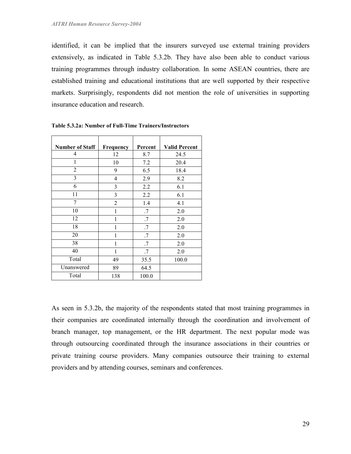identified, it can be implied that the insurers surveyed use external training providers extensively, as indicated in Table 5.3.2b. They have also been able to conduct various training programmes through industry collaboration. In some ASEAN countries, there are established training and educational institutions that are well supported by their respective markets. Surprisingly, respondents did not mention the role of universities in supporting insurance education and research.

| <b>Number of Staff</b> | Frequency      | Percent | <b>Valid Percent</b> |
|------------------------|----------------|---------|----------------------|
| 4                      | 12             | 8.7     | 24.5                 |
| 1                      | 10             | 7.2     | 20.4                 |
| $\overline{2}$         | 9              | 6.5     | 18.4                 |
| 3                      | 4              | 2.9     | 8.2                  |
| 6                      | 3              | 2.2     | 6.1                  |
| 11                     | 3              | 2.2     | 6.1                  |
| 7                      | $\overline{2}$ | 1.4     | 4.1                  |
| 10                     | $\mathbf{1}$   | .7      | 2.0                  |
| 12                     | 1              | .7      | 2.0                  |
| 18                     | 1              | .7      | 2.0                  |
| 20                     |                | .7      | 2.0                  |
| 38                     | 1              | .7      | 2.0                  |
| 40                     | 1              | .7      | 2.0                  |
| Total                  | 49             | 35.5    | 100.0                |
| Unanswered             | 89             | 64.5    |                      |
| Total                  | 138            | 100.0   |                      |

Table 5.3.2a: Number of Full-Time Trainers/Instructors

As seen in 5.3.2b, the majority of the respondents stated that most training programmes in their companies are coordinated internally through the coordination and involvement of branch manager, top management, or the HR department. The next popular mode was through outsourcing coordinated through the insurance associations in their countries or private training course providers. Many companies outsource their training to external providers and by attending courses, seminars and conferences.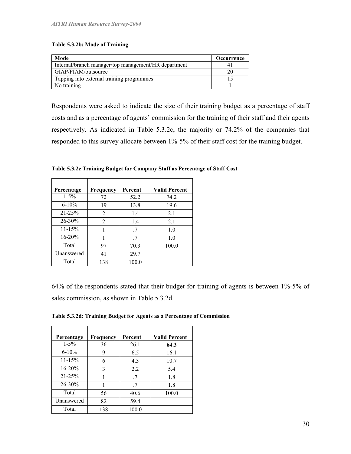#### Table 5.3.2b: Mode of Training

| Mode                                                 | <b>Occurrence</b> |
|------------------------------------------------------|-------------------|
| Internal/branch manager/top management/HR department |                   |
| GIAP/PIAM/outsource                                  |                   |
| Tapping into external training programmes            |                   |
| No training                                          |                   |

Respondents were asked to indicate the size of their training budget as a percentage of staff costs and as a percentage of agents' commission for the training of their staff and their agents respectively. As indicated in Table 5.3.2c, the majority or 74.2% of the companies that responded to this survey allocate between 1%-5% of their staff cost for the training budget.

| Percentage  | Frequency      | Percent | <b>Valid Percent</b> |
|-------------|----------------|---------|----------------------|
| $1 - 5\%$   | 72             | 52.2    | 74.2                 |
| $6 - 10\%$  | 19             | 13.8    | 19.6                 |
| $21 - 25%$  | $\overline{2}$ | 1.4     | 2.1                  |
| $26 - 30\%$ | 2              | 1.4     | 2.1                  |
| $11 - 15%$  |                | -7      | 1.0                  |
| $16 - 20%$  |                | .7      | 1.0                  |
| Total       | 97             | 70.3    | 100.0                |
| Unanswered  | 41             | 29.7    |                      |
| Total       | 138            | 100.0   |                      |

Table 5.3.2c Training Budget for Company Staff as Percentage of Staff Cost

64% of the respondents stated that their budget for training of agents is between 1%-5% of sales commission, as shown in Table 5.3.2d.

| Percentage | Frequency | Percent | <b>Valid Percent</b> |
|------------|-----------|---------|----------------------|
| $1 - 5\%$  | 36        | 26.1    | 64.3                 |
| $6 - 10\%$ | 9         | 6.5     | 16.1                 |
| $11 - 15%$ | 6         | 4.3     | 10.7                 |
| $16 - 20%$ | 3         | 2.2     | 5.4                  |
| $21 - 25%$ |           | .7      | 1.8                  |
| 26-30%     |           | .7      | 1.8                  |
| Total      | 56        | 40.6    | 100.0                |
| Unanswered | 82        | 59.4    |                      |
| Total      | 138       | 100.0   |                      |

Table 5.3.2d: Training Budget for Agents as a Percentage of Commission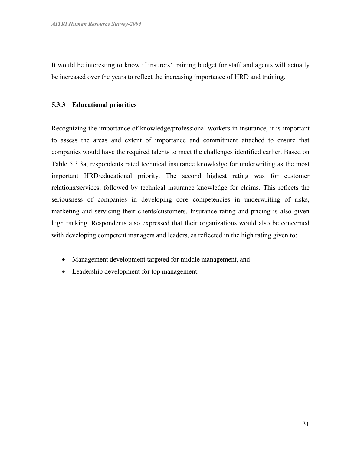It would be interesting to know if insurers' training budget for staff and agents will actually be increased over the years to reflect the increasing importance of HRD and training.

#### 5.3.3 Educational priorities

Recognizing the importance of knowledge/professional workers in insurance, it is important to assess the areas and extent of importance and commitment attached to ensure that companies would have the required talents to meet the challenges identified earlier. Based on Table 5.3.3a, respondents rated technical insurance knowledge for underwriting as the most important HRD/educational priority. The second highest rating was for customer relations/services, followed by technical insurance knowledge for claims. This reflects the seriousness of companies in developing core competencies in underwriting of risks, marketing and servicing their clients/customers. Insurance rating and pricing is also given high ranking. Respondents also expressed that their organizations would also be concerned with developing competent managers and leaders, as reflected in the high rating given to:

- Management development targeted for middle management, and
- Leadership development for top management.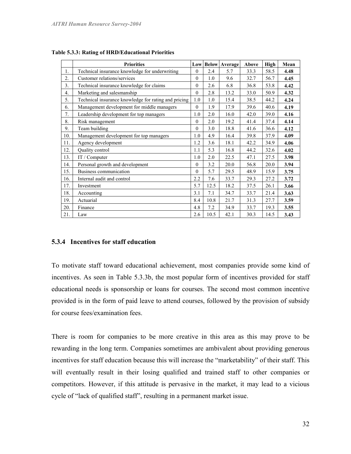|                | <b>Priorities</b>                                    |                |      | <b>Low Below Average</b> | Above | High | Mean |
|----------------|------------------------------------------------------|----------------|------|--------------------------|-------|------|------|
| 1.             | Technical insurance knowledge for underwriting       | $\Omega$       | 2.4  | 5.7                      | 33.3  | 58.5 | 4.48 |
| 2.             | Customer relations/services                          | $\Omega$       | 1.0  | 9.6                      | 32.7  | 56.7 | 4.45 |
| 3 <sub>1</sub> | Technical insurance knowledge for claims             | $\Omega$       | 2.6  | 6.8                      | 36.8  | 53.8 | 4.42 |
| 4.             | Marketing and salesmanship                           | $\theta$       | 2.8  | 13.2                     | 33.0  | 50.9 | 4.32 |
| 5.             | Technical insurance knowledge for rating and pricing | 1.0            | 1.0  | 15.4                     | 38.5  | 44.2 | 4.24 |
| 6.             | Management development for middle managers           | $\overline{0}$ | 1.9  | 17.9                     | 39.6  | 40.6 | 4.19 |
| 7.             | Leadership development for top managers              | 1.0            | 2.0  | 16.0                     | 42.0  | 39.0 | 4.16 |
| 8.             | Risk management                                      | $\Omega$       | 2.0  | 19.2                     | 41.4  | 37.4 | 4.14 |
| 9.             | Team building                                        | $\Omega$       | 3.0  | 18.8                     | 41.6  | 36.6 | 4.12 |
| 10.            | Management development for top managers              | 1.0            | 4.9  | 16.4                     | 39.8  | 37.9 | 4.09 |
| 11.            | Agency development                                   | 1.2            | 3.6  | 18.1                     | 42.2  | 34.9 | 4.06 |
| 12.            | Quality control                                      | 1.1            | 5.3  | 16.8                     | 44.2  | 32.6 | 4.02 |
| 13.            | IT / Computer                                        | 1.0            | 2.0  | 22.5                     | 47.1  | 27.5 | 3.98 |
| 14.            | Personal growth and development                      | $\Omega$       | 3.2  | 20.0                     | 56.8  | 20.0 | 3.94 |
| 15.            | Business communication                               | $\Omega$       | 5.7  | 29.5                     | 48.9  | 15.9 | 3.75 |
| 16.            | Internal audit and control                           | 2.2            | 7.6  | 33.7                     | 29.3  | 27.2 | 3.72 |
| 17.            | Investment                                           | 5.7            | 12.5 | 18.2                     | 37.5  | 26.1 | 3.66 |
| 18.            | Accounting                                           | 3.1            | 7.1  | 34.7                     | 33.7  | 21.4 | 3.63 |
| 19.            | Actuarial                                            | 8.4            | 10.8 | 21.7                     | 31.3  | 27.7 | 3.59 |
| 20.            | Finance                                              | 4.8            | 7.2  | 34.9                     | 33.7  | 19.3 | 3.55 |
| 21.            | Law                                                  | 2.6            | 10.5 | 42.1                     | 30.3  | 14.5 | 3.43 |

Table 5.3.3: Rating of HRD/Educational Priorities

## 5.3.4 Incentives for staff education

To motivate staff toward educational achievement, most companies provide some kind of incentives. As seen in Table 5.3.3b, the most popular form of incentives provided for staff educational needs is sponsorship or loans for courses. The second most common incentive provided is in the form of paid leave to attend courses, followed by the provision of subsidy for course fees/examination fees.

There is room for companies to be more creative in this area as this may prove to be rewarding in the long term. Companies sometimes are ambivalent about providing generous incentives for staff education because this will increase the "marketability" of their staff. This will eventually result in their losing qualified and trained staff to other companies or competitors. However, if this attitude is pervasive in the market, it may lead to a vicious cycle of "lack of qualified staff", resulting in a permanent market issue.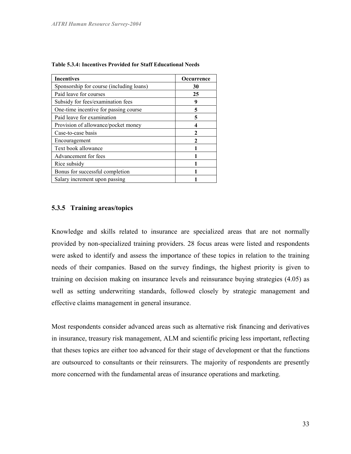| <b>Incentives</b>                        | Occurrence |
|------------------------------------------|------------|
| Sponsorship for course (including loans) | 30         |
| Paid leave for courses                   | 25         |
| Subsidy for fees/examination fees        | 9          |
| One-time incentive for passing course    | 5          |
| Paid leave for examination               | 5          |
| Provision of allowance/pocket money      |            |
| Case-to-case basis                       |            |
| Encouragement                            |            |
| Text book allowance                      |            |
| Advancement for fees                     |            |
| Rice subsidy                             |            |
| Bonus for successful completion          |            |
| Salary increment upon passing            |            |

Table 5.3.4: Incentives Provided for Staff Educational Needs

# 5.3.5 Training areas/topics

Knowledge and skills related to insurance are specialized areas that are not normally provided by non-specialized training providers. 28 focus areas were listed and respondents were asked to identify and assess the importance of these topics in relation to the training needs of their companies. Based on the survey findings, the highest priority is given to training on decision making on insurance levels and reinsurance buying strategies (4.05) as well as setting underwriting standards, followed closely by strategic management and effective claims management in general insurance.

Most respondents consider advanced areas such as alternative risk financing and derivatives in insurance, treasury risk management, ALM and scientific pricing less important, reflecting that theses topics are either too advanced for their stage of development or that the functions are outsourced to consultants or their reinsurers. The majority of respondents are presently more concerned with the fundamental areas of insurance operations and marketing.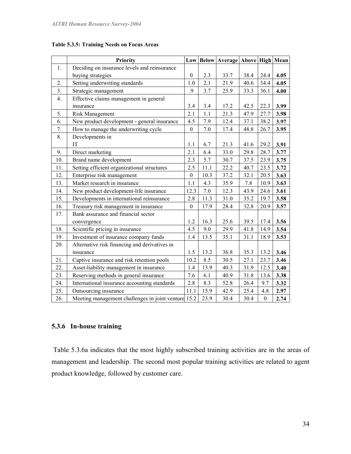|                | <b>Priority</b>                                     |                  |      | Low   Below   Average   Above   High   Mean |      |                  |      |
|----------------|-----------------------------------------------------|------------------|------|---------------------------------------------|------|------------------|------|
| 1.             | Deciding on insurance levels and reinsurance        |                  |      |                                             |      |                  |      |
|                | buying strategies                                   | $\boldsymbol{0}$ | 2.3  | 33.7                                        | 38.4 | 24.4             | 4.05 |
| 2.             | Setting underwriting standards                      | 1.0              | 2.1  | 21.9                                        | 40.6 | 34.4             | 4.05 |
| 3 <sub>1</sub> | Strategic management                                | 9.               | 3.7  | 25.9                                        | 33.3 | 36.1             | 4.00 |
| 4.             | Effective claims management in general              |                  |      |                                             |      |                  |      |
|                | insurance                                           | 3.4              | 3.4  | 17.2                                        | 42.5 | 22.3             | 3.99 |
| 5.             | <b>Risk Management</b>                              | 2.1              | 1.1  | 21.3                                        | 47.9 | 27.7             | 3.98 |
| 6.             | New product development - general insurance         | 4.5              | 7.9  | 12.4                                        | 37.1 | 38.2             | 3.97 |
| 7.             | How to manage the underwriting cycle                | $\boldsymbol{0}$ | 7.0  | 17.4                                        | 48.8 | 26.7             | 3.95 |
| 8.             | Developments in                                     |                  |      |                                             |      |                  |      |
|                | IT                                                  | 1.1              | 6.7  | 21.3                                        | 41.6 | 29.2             | 3.91 |
| 9.             | Direct marketing                                    | 2.1              | 6.4  | 33.0                                        | 29.8 | 28.7             | 3.77 |
| 10.            | Brand name development                              | 2.3              | 5.7  | 30.7                                        | 37.5 | 23.9             | 3.75 |
| 11.            | Setting efficient organizational structures         | 2.5              | 11.1 | 22.2                                        | 40.7 | 23.5             | 3.72 |
| 12.            | Enterprise risk management                          | $\mathbf{0}$     | 10.3 | 37.2                                        | 32.1 | 20.5             | 3.63 |
| 13.            | Market research in insurance                        | 1.1              | 4.3  | 35.9                                        | 7.8  | 10.9             | 3.63 |
| 14.            | New product development-life insurance              | 12.3             | 7.0  | 12.3                                        | 43.9 | 24.6             | 3.61 |
| 15.            | Developments in international reinsurance           | 2.8              | 11.3 | 31.0                                        | 35.2 | 19.7             | 3.58 |
| 16.            | Treasury risk management in insurance               | $\overline{0}$   | 17.9 | 28.4                                        | 32.8 | 20.9             | 3.57 |
| 17.            | Bank assurance and financial sector                 |                  |      |                                             |      |                  |      |
|                | convergence                                         | 1.2              | 16.3 | 25.6                                        | 39.5 | 17.4             | 3.56 |
| 18.            | Scientific pricing in insurance                     | 4.5              | 9.0  | 29.9                                        | 41.8 | 14.9             | 3.54 |
| 19.            | Investment of insurance company funds               | 1.4              | 13.5 | 35.1                                        | 31.1 | 18.9             | 3.53 |
| 20.            | Alternative risk financing and derivatives in       |                  |      |                                             |      |                  |      |
|                | insurance                                           | 1.5              | 13.2 | 36.8                                        | 35.3 | 13.2             | 3.46 |
| 21.            | Captive insurance and risk retention pools          | 10.2             | 8.5  | 30.5                                        | 27.1 | 23.7             | 3.46 |
| 22.            | Asset-liability management in insurance             | 1.4              | 13.9 | 40.3                                        | 31.9 | 12.5             | 3.40 |
| 23.            | Reserving methods in general insurance              | 7.6              | 6.1  | 40.9                                        | 31.8 | 13.6             | 3.38 |
| 24.            | International insurance accounting standards        | $2.8\,$          | 8.3  | 52.8                                        | 26.4 | 9.7              | 3.32 |
| 25.            | Outsourcing insurance                               | 11.1             | 15.9 | 42.9                                        | 25.4 | 4.8              | 2.97 |
| 26.            | Meeting management challenges in joint venture 15.2 |                  | 23.9 | 30.4                                        | 30.4 | $\boldsymbol{0}$ | 2.74 |

Table 5.3.5: Training Needs on Focus Areas

# 5.3.6 In-house training

 Table 5.3.6a indicates that the most highly subscribed training activities are in the areas of management and leadership. The second most popular training activities are related to agent product knowledge, followed by customer care.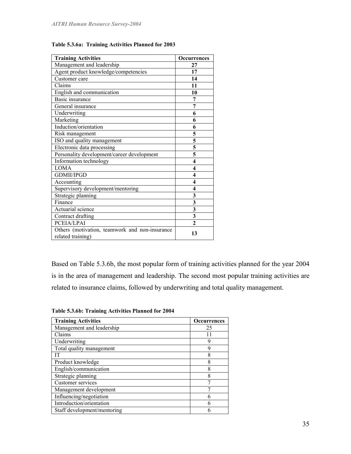| <b>Training Activities</b>                                          | <b>Occurrences</b>                   |
|---------------------------------------------------------------------|--------------------------------------|
| Management and leadership                                           | 27                                   |
| Agent product knowledge/competencies                                | 17                                   |
| Customer care                                                       | 14                                   |
| Claims                                                              | 11                                   |
| English and communication                                           | 10                                   |
| Basic insurance                                                     | 7                                    |
| General insurance                                                   | 7                                    |
| Underwriting                                                        | 6                                    |
| Marketing                                                           | 6                                    |
| Induction/orientation                                               | 6                                    |
| Risk management                                                     | 5                                    |
| ISO and quality management                                          | 5                                    |
| Electronic data processing                                          | $\overline{\overline{\overline{5}}}$ |
| Personality development/career development                          | $\overline{\mathbf{5}}$              |
| Information technology                                              | $\overline{\mathbf{4}}$              |
| <b>LOMA</b>                                                         | $\overline{\mathbf{4}}$              |
| <b>GDMII/IPGD</b>                                                   | 4                                    |
| Accounting                                                          | $\overline{\mathbf{4}}$              |
| Supervisory development/mentoring                                   | 4                                    |
| Strategic planning                                                  | 3                                    |
| Finance                                                             | $\overline{\mathbf{3}}$              |
| Actuarial science                                                   | $\overline{\mathbf{3}}$              |
| Contract drafting                                                   | $\overline{\mathbf{3}}$              |
| PCEIA/LPAI                                                          | $\overline{2}$                       |
| Others (motivation, teamwork and non-insurance<br>related training) | 13                                   |

Table 5.3.6a: Training Activities Planned for 2003

Based on Table 5.3.6b, the most popular form of training activities planned for the year 2004 is in the area of management and leadership. The second most popular training activities are related to insurance claims, followed by underwriting and total quality management.

| Table 5.3.6b: Training Activities Planned for 2004 |  |  |  |
|----------------------------------------------------|--|--|--|
|                                                    |  |  |  |

| <b>Training Activities</b>  | <b>Occurrences</b> |
|-----------------------------|--------------------|
| Management and leadership   | 25                 |
| Claims                      |                    |
| Underwriting                | Q                  |
| Total quality management    | 9                  |
| ſТ                          | 8                  |
| Product knowledge           | 8                  |
| English/communication       | 8                  |
| Strategic planning          | 8                  |
| Customer services           |                    |
| Management development      |                    |
| Influencing/negotiation     |                    |
| Introduction/orientation    |                    |
| Staff development/mentoring |                    |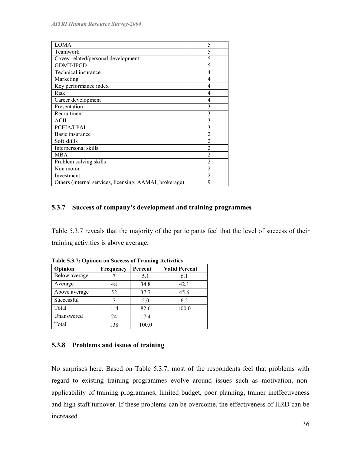| <b>LOMA</b>                                             | 5              |
|---------------------------------------------------------|----------------|
| Teamwork                                                | 5              |
| Covey-related/personal development                      | 5              |
| <b>GDMII/IPGD</b>                                       | 5              |
| Technical insurance                                     | 4              |
| Marketing                                               | 4              |
| Key performance index                                   | 4              |
| Risk                                                    | 4              |
| Career development                                      | 4              |
| Presentation                                            | 3              |
| Recruitment                                             | 3              |
| ACII                                                    | 3              |
| PCEIA/LPAI                                              | 3              |
| Basic insurance                                         | $\overline{2}$ |
| Soft skills                                             | $\overline{2}$ |
| Interpersonal skills                                    | $\overline{2}$ |
| <b>MBA</b>                                              | $\overline{2}$ |
| Problem solving skills                                  | $\overline{2}$ |
| Non motor                                               | $\mathfrak{D}$ |
| Investment                                              | $\overline{2}$ |
| Others (internal services, licensing, AAMAI, brokerage) | 9              |

# 5.3.7 Success of company's development and training programmes

Table 5.3.7 reveals that the majority of the participants feel that the level of success of their training activities is above average.

|               | Table 3.3.7. Optimul on Success of Training Activities |         |                      |  |  |  |  |  |
|---------------|--------------------------------------------------------|---------|----------------------|--|--|--|--|--|
| Opinion       | <b>Frequency</b>                                       | Percent | <b>Valid Percent</b> |  |  |  |  |  |
| Below average |                                                        | 5.1     | 6.1                  |  |  |  |  |  |
| Average       | 48                                                     | 34.8    | 42.1                 |  |  |  |  |  |
| Above average | 52                                                     | 37.7    | 45.6                 |  |  |  |  |  |
| Successful    |                                                        | 5.0     | 6.2                  |  |  |  |  |  |
| Total         | 114                                                    | 82.6    | 100.0                |  |  |  |  |  |
| Unanswered    | 24                                                     | 17.4    |                      |  |  |  |  |  |
| Total         | 138                                                    | 100.0   |                      |  |  |  |  |  |

Table 5.3.7: Opinion on Success of Training Activities

# 5.3.8 Problems and issues of training

No surprises here. Based on Table 5.3.7, most of the respondents feel that problems with regard to existing training programmes evolve around issues such as motivation, nonapplicability of training programmes, limited budget, poor planning, trainer ineffectiveness and high staff turnover. If these problems can be overcome, the effectiveness of HRD can be increased.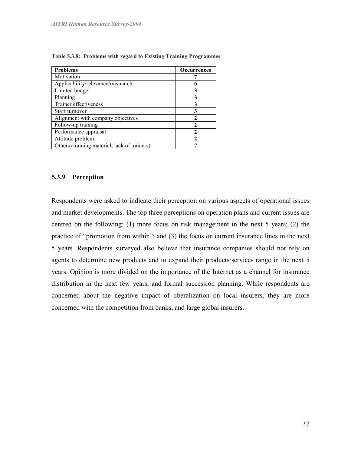| <b>Problems</b>                              | <b>Occurrences</b> |
|----------------------------------------------|--------------------|
| Motivation                                   |                    |
| Applicability/relevance/mismatch             |                    |
| Limited budget                               | 3                  |
| Planning                                     | 3                  |
| Trainer effectiveness                        | 3                  |
| Staff turnover                               | 3                  |
| Alignment with company objectives            | $\mathbf{c}$       |
| Follow-up training                           | $\mathbf{c}$       |
| Performance appraisal                        | 2                  |
| Attitude problem                             | 2                  |
| Others (training material, lack of trainers) |                    |

Table 5.3.8: Problems with regard to Existing Training Programmes

#### 5.3.9 Perception

Respondents were asked to indicate their perception on various aspects of operational issues and market developments. The top three perceptions on operation plans and current issues are centred on the following: (1) more focus on risk management in the next 5 years; (2) the practice of "promotion from within"; and (3) the focus on current insurance lines in the next 5 years. Respondents surveyed also believe that insurance companies should not rely on agents to determine new products and to expand their products/services range in the next 5 years. Opinion is more divided on the importance of the Internet as a channel for insurance distribution in the next few years, and formal succession planning. While respondents are concerned about the negative impact of liberalization on local insurers, they are more concerned with the competition from banks, and large global insurers.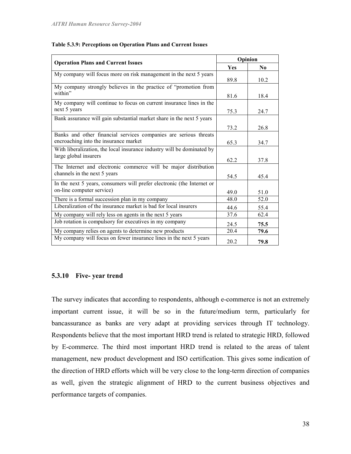| <b>Operation Plans and Current Issues</b>                                                                 | Opinion |                |
|-----------------------------------------------------------------------------------------------------------|---------|----------------|
|                                                                                                           | Yes     | N <sub>0</sub> |
| My company will focus more on risk management in the next 5 years                                         | 89.8    | 10.2           |
| My company strongly believes in the practice of "promotion from<br>within"                                | 81.6    | 18.4           |
| My company will continue to focus on current insurance lines in the<br>next 5 years                       | 75.3    | 24.7           |
| Bank assurance will gain substantial market share in the next 5 years                                     | 73.2    | 26.8           |
| Banks and other financial services companies are serious threats<br>encroaching into the insurance market | 65.3    | 34.7           |
| With liberalization, the local insurance industry will be dominated by<br>large global insurers           | 62.2    | 37.8           |
| The Internet and electronic commerce will be major distribution<br>channels in the next 5 years           | 54.5    | 45.4           |
| In the next 5 years, consumers will prefer electronic (the Internet or<br>on-line computer service)       | 49.0    | 51.0           |
| There is a formal succession plan in my company                                                           | 48.0    | 52.0           |
| Liberalization of the insurance market is bad for local insurers                                          | 44.6    | 55.4           |
| My company will rely less on agents in the next 5 years                                                   | 37.6    | 62.4           |
| Job rotation is compulsory for executives in my company                                                   | 24.5    | 75.5           |
| My company relies on agents to determine new products                                                     | 20.4    | 79.6           |
| My company will focus on fewer insurance lines in the next 5 years                                        | 20.2    | 79.8           |

#### Table 5.3.9: Perceptions on Operation Plans and Current Issues

## 5.3.10 Five- year trend

The survey indicates that according to respondents, although e-commerce is not an extremely important current issue, it will be so in the future/medium term, particularly for bancassurance as banks are very adapt at providing services through IT technology. Respondents believe that the most important HRD trend is related to strategic HRD, followed by E-commerce. The third most important HRD trend is related to the areas of talent management, new product development and ISO certification. This gives some indication of the direction of HRD efforts which will be very close to the long-term direction of companies as well, given the strategic alignment of HRD to the current business objectives and performance targets of companies.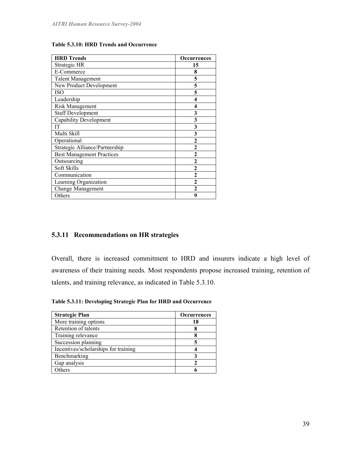| Table 5.3.10: HRD Trends and Occurrence |  |  |
|-----------------------------------------|--|--|
|-----------------------------------------|--|--|

| <b>HRD Trends</b>                | <b>Occurrences</b> |
|----------------------------------|--------------------|
| Strategic HR                     | 15                 |
| E-Commerce                       | 8                  |
| <b>Talent Management</b>         | 5                  |
| New Product Development          | 5                  |
| ISO                              | 5                  |
| Leadership                       | 4                  |
| <b>Risk Management</b>           | 4                  |
| <b>Staff Development</b>         | 3                  |
| <b>Capability Development</b>    | 3                  |
| IT                               | 3                  |
| Multi Skill                      | 3                  |
| Operational                      | 2                  |
| Strategic Alliance/Partnership   | $\mathbf{c}$       |
| <b>Best Management Practices</b> | $\mathbf{2}$       |
| Outsourcing                      | $\overline{2}$     |
| Soft Skills                      | $\overline{2}$     |
| Communication                    | $\mathbf{c}$       |
| Learning Organization            | $\overline{2}$     |
| <b>Change Management</b>         | າ                  |
| Others                           | 9                  |

# 5.3.11 Recommendations on HR strategies

Overall, there is increased commitment to HRD and insurers indicate a high level of awareness of their training needs. Most respondents propose increased training, retention of talents, and training relevance, as indicated in Table 5.3.10.

Table 5.3.11: Developing Strategic Plan for HRD and Occurrence

| <b>Strategic Plan</b>                | <b>Occurrences</b> |
|--------------------------------------|--------------------|
| More training options                | 18                 |
| Retention of talents                 |                    |
| Training relevance                   |                    |
| Succession planning                  |                    |
| Incentives/scholarships for training |                    |
| Benchmarking                         |                    |
| Gap analysis                         |                    |
| . Others                             |                    |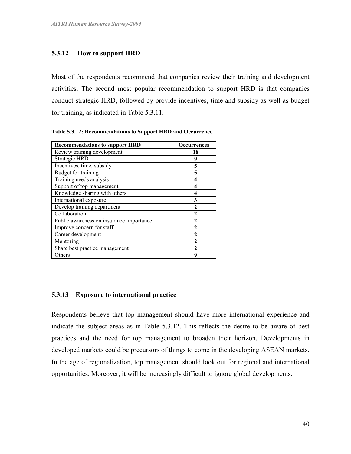# 5.3.12 How to support HRD

Most of the respondents recommend that companies review their training and development activities. The second most popular recommendation to support HRD is that companies conduct strategic HRD, followed by provide incentives, time and subsidy as well as budget for training, as indicated in Table 5.3.11.

| <b>Recommendations to support HRD</b>    | <b>Occurrences</b> |
|------------------------------------------|--------------------|
| Review training development              | 18                 |
| Strategic HRD                            | 9                  |
| Incentives, time, subsidy                | 5                  |
| Budget for training                      | 5                  |
| Training needs analysis                  | 4                  |
| Support of top management                |                    |
| Knowledge sharing with others            | 4                  |
| International exposure                   | 3                  |
| Develop training department              | $\mathbf{2}$       |
| Collaboration                            | $\mathbf{c}$       |
| Public awareness on insurance importance | $\mathfrak{D}$     |
| Improve concern for staff                | $\mathbf{2}$       |
| Career development                       |                    |
| Mentoring                                |                    |
| Share best practice management           |                    |
| Others                                   | q                  |

Table 5.3.12: Recommendations to Support HRD and Occurrence

# 5.3.13 Exposure to international practice

Respondents believe that top management should have more international experience and indicate the subject areas as in Table 5.3.12. This reflects the desire to be aware of best practices and the need for top management to broaden their horizon. Developments in developed markets could be precursors of things to come in the developing ASEAN markets. In the age of regionalization, top management should look out for regional and international opportunities. Moreover, it will be increasingly difficult to ignore global developments.